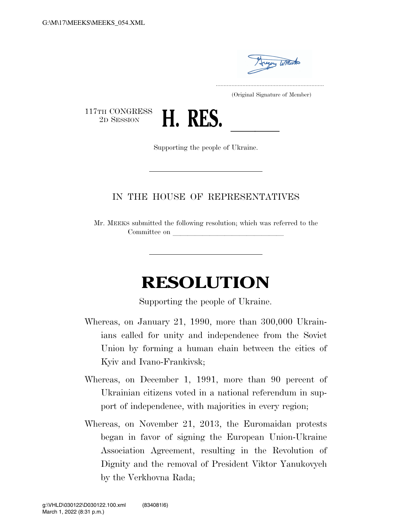

..................................................................... (Original Signature of Member)

117TH CONGRESS<br>2D SESSION



Supporting the people of Ukraine.

## IN THE HOUSE OF REPRESENTATIVES

Mr. MEEKS submitted the following resolution; which was referred to the Committee on

## **RESOLUTION**

Supporting the people of Ukraine.

- Whereas, on January 21, 1990, more than 300,000 Ukrainians called for unity and independence from the Soviet Union by forming a human chain between the cities of Kyiv and Ivano-Frankivsk;
- Whereas, on December 1, 1991, more than 90 percent of Ukrainian citizens voted in a national referendum in support of independence, with majorities in every region;
- Whereas, on November 21, 2013, the Euromaidan protests began in favor of signing the European Union-Ukraine Association Agreement, resulting in the Revolution of Dignity and the removal of President Viktor Yanukovych by the Verkhovna Rada;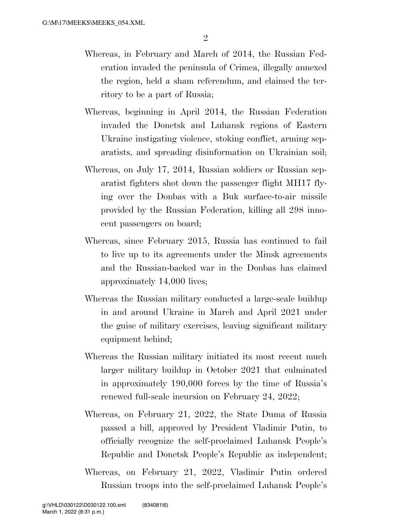- Whereas, in February and March of 2014, the Russian Federation invaded the peninsula of Crimea, illegally annexed the region, held a sham referendum, and claimed the territory to be a part of Russia;
- Whereas, beginning in April 2014, the Russian Federation invaded the Donetsk and Luhansk regions of Eastern Ukraine instigating violence, stoking conflict, arming separatists, and spreading disinformation on Ukrainian soil;
- Whereas, on July 17, 2014, Russian soldiers or Russian separatist fighters shot down the passenger flight MH17 flying over the Donbas with a Buk surface-to-air missile provided by the Russian Federation, killing all 298 innocent passengers on board;
- Whereas, since February 2015, Russia has continued to fail to live up to its agreements under the Minsk agreements and the Russian-backed war in the Donbas has claimed approximately 14,000 lives;
- Whereas the Russian military conducted a large-scale buildup in and around Ukraine in March and April 2021 under the guise of military exercises, leaving significant military equipment behind;
- Whereas the Russian military initiated its most recent much larger military buildup in October 2021 that culminated in approximately 190,000 forces by the time of Russia's renewed full-scale incursion on February 24, 2022;
- Whereas, on February 21, 2022, the State Duma of Russia passed a bill, approved by President Vladimir Putin, to officially recognize the self-proclaimed Luhansk People's Republic and Donetsk People's Republic as independent;
- Whereas, on February 21, 2022, Vladimir Putin ordered Russian troops into the self-proclaimed Luhansk People's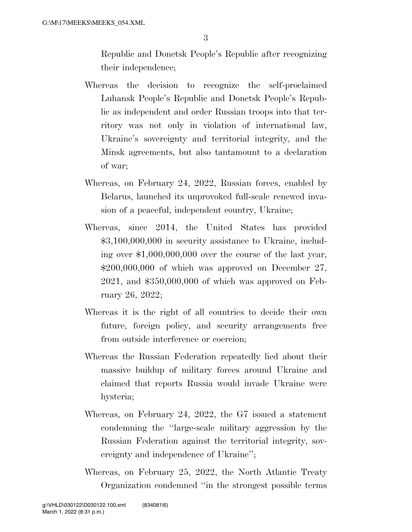Republic and Donetsk People's Republic after recognizing their independence;

- Whereas the decision to recognize the self-proclaimed Luhansk People's Republic and Donetsk People's Republic as independent and order Russian troops into that territory was not only in violation of international law, Ukraine's sovereignty and territorial integrity, and the Minsk agreements, but also tantamount to a declaration of war;
- Whereas, on February 24, 2022, Russian forces, enabled by Belarus, launched its unprovoked full-scale renewed invasion of a peaceful, independent country, Ukraine;
- Whereas, since 2014, the United States has provided \$3,100,000,000 in security assistance to Ukraine, including over \$1,000,000,000 over the course of the last year,  $$200,000,000$  of which was approved on December 27, 2021, and \$350,000,000 of which was approved on February 26, 2022;
- Whereas it is the right of all countries to decide their own future, foreign policy, and security arrangements free from outside interference or coercion;
- Whereas the Russian Federation repeatedly lied about their massive buildup of military forces around Ukraine and claimed that reports Russia would invade Ukraine were hysteria;
- Whereas, on February 24, 2022, the G7 issued a statement condemning the ''large-scale military aggression by the Russian Federation against the territorial integrity, sovereignty and independence of Ukraine'';
- Whereas, on February 25, 2022, the North Atlantic Treaty Organization condemned ''in the strongest possible terms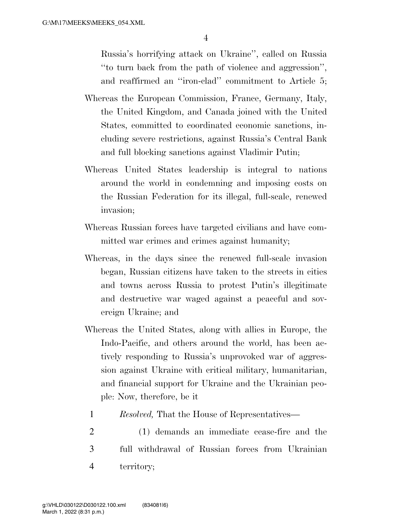Russia's horrifying attack on Ukraine'', called on Russia ''to turn back from the path of violence and aggression'', and reaffirmed an ''iron-clad'' commitment to Article 5;

- Whereas the European Commission, France, Germany, Italy, the United Kingdom, and Canada joined with the United States, committed to coordinated economic sanctions, including severe restrictions, against Russia's Central Bank and full blocking sanctions against Vladimir Putin;
- Whereas United States leadership is integral to nations around the world in condemning and imposing costs on the Russian Federation for its illegal, full-scale, renewed invasion;
- Whereas Russian forces have targeted civilians and have committed war crimes and crimes against humanity;
- Whereas, in the days since the renewed full-scale invasion began, Russian citizens have taken to the streets in cities and towns across Russia to protest Putin's illegitimate and destructive war waged against a peaceful and sovereign Ukraine; and
- Whereas the United States, along with allies in Europe, the Indo-Pacific, and others around the world, has been actively responding to Russia's unprovoked war of aggression against Ukraine with critical military, humanitarian, and financial support for Ukraine and the Ukrainian people: Now, therefore, be it
	- 1 *Resolved,* That the House of Representatives—
- 2 (1) demands an immediate cease-fire and the 3 full withdrawal of Russian forces from Ukrainian 4 territory;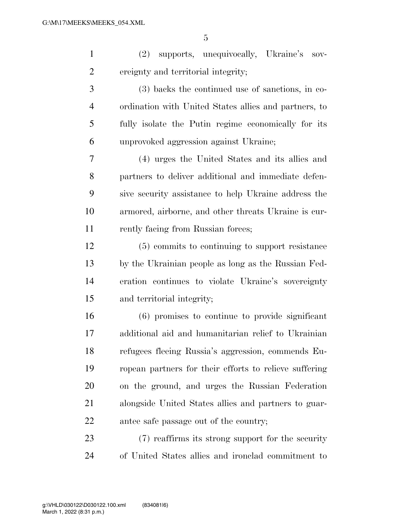(2) supports, unequivocally, Ukraine's sov-ereignty and territorial integrity;

 (3) backs the continued use of sanctions, in co- ordination with United States allies and partners, to fully isolate the Putin regime economically for its unprovoked aggression against Ukraine;

 (4) urges the United States and its allies and partners to deliver additional and immediate defen- sive security assistance to help Ukraine address the armored, airborne, and other threats Ukraine is cur-11 rently facing from Russian forces;

 (5) commits to continuing to support resistance by the Ukrainian people as long as the Russian Fed- eration continues to violate Ukraine's sovereignty and territorial integrity;

 (6) promises to continue to provide significant additional aid and humanitarian relief to Ukrainian refugees fleeing Russia's aggression, commends Eu- ropean partners for their efforts to relieve suffering on the ground, and urges the Russian Federation alongside United States allies and partners to guar-antee safe passage out of the country;

 (7) reaffirms its strong support for the security of United States allies and ironclad commitment to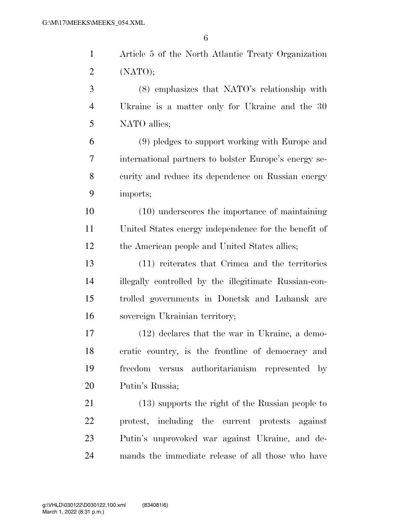$\alpha$ 

|                | 6                                                     |
|----------------|-------------------------------------------------------|
| $\mathbf{1}$   | Article 5 of the North Atlantic Treaty Organization   |
| $\overline{2}$ | (NATO);                                               |
| 3              | (8) emphasizes that NATO's relationship with          |
| $\overline{4}$ | Ukraine is a matter only for Ukraine and the 30       |
| 5              | NATO allies;                                          |
| 6              | (9) pledges to support working with Europe and        |
| 7              | international partners to bolster Europe's energy se- |
| 8              | curity and reduce its dependence on Russian energy    |
| 9              | imports;                                              |
| 10             | (10) underscores the importance of maintaining        |
| 11             | United States energy independence for the benefit of  |
| 12             | the American people and United States allies;         |
| 13             | (11) reiterates that Crimea and the territories       |
| 14             | illegally controlled by the illegitimate Russian-con- |
| 15             | trolled governments in Donetsk and Luhansk are        |

sovereign Ukrainian territory;

 (12) declares that the war in Ukraine, a demo- cratic country, is the frontline of democracy and freedom versus authoritarianism represented by Putin's Russia;

 (13) supports the right of the Russian people to protest, including the current protests against Putin's unprovoked war against Ukraine, and de-mands the immediate release of all those who have